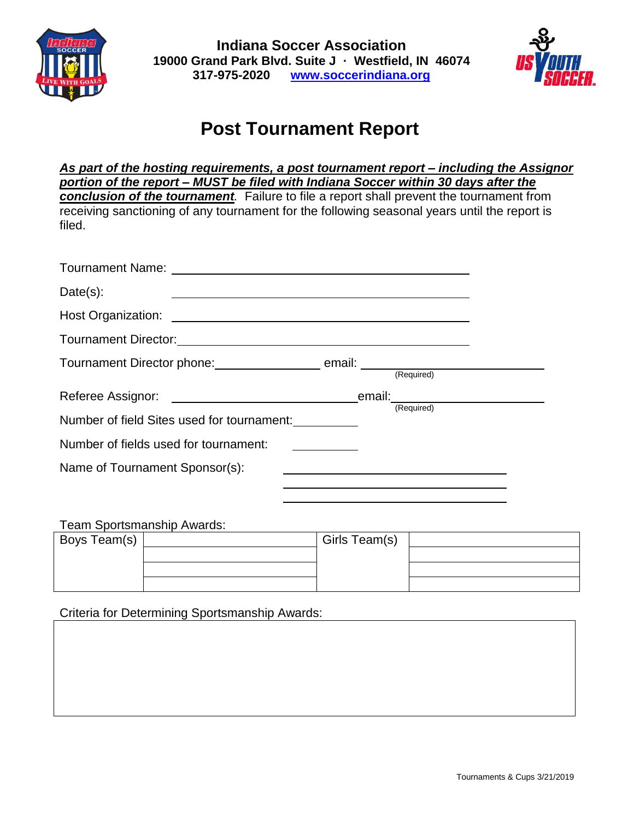



## **Post Tournament Report**

*As part of the hosting requirements, a post tournament report – including the Assignor portion of the report – MUST be filed with Indiana Soccer within 30 days after the conclusion of the tournament.* Failure to file a report shall prevent the tournament from receiving sanctioning of any tournament for the following seasonal years until the report is filed.

| Date(s):                                   | and the control of the control of the control of the control of the control of the control of the control of the |  |
|--------------------------------------------|------------------------------------------------------------------------------------------------------------------|--|
|                                            |                                                                                                                  |  |
|                                            |                                                                                                                  |  |
|                                            |                                                                                                                  |  |
|                                            |                                                                                                                  |  |
|                                            |                                                                                                                  |  |
| Number of field Sites used for tournament: | (Required)                                                                                                       |  |
| Number of fields used for tournament:      |                                                                                                                  |  |
| Name of Tournament Sponsor(s):             |                                                                                                                  |  |
|                                            |                                                                                                                  |  |

Team Sportsmanship Awards:

| Boys Team(s) | Girls Team(s) |  |
|--------------|---------------|--|
|              |               |  |
|              |               |  |
|              |               |  |

Criteria for Determining Sportsmanship Awards: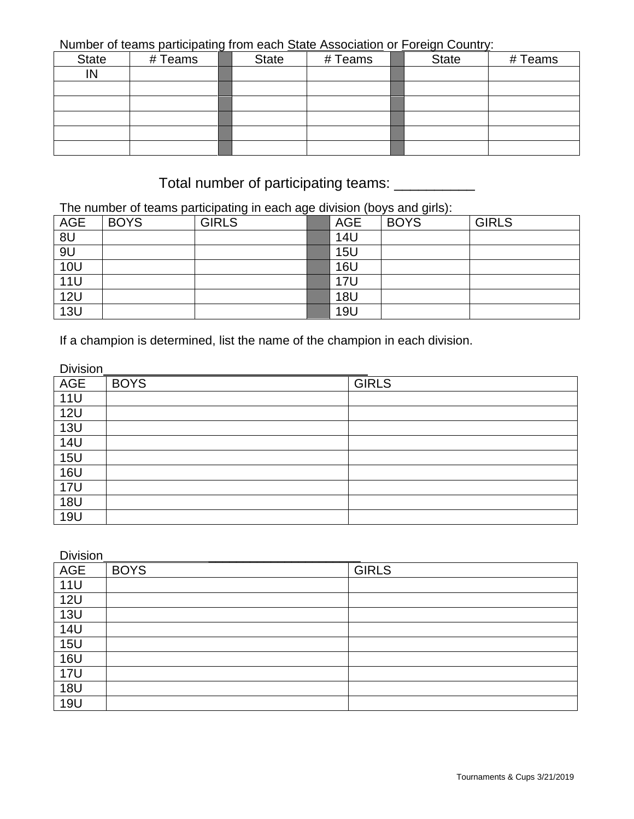Number of teams participating from each State Association or Foreign Country:

| <b>State</b> | # Teams | <b>State</b> | # Teams | <b>State</b> | # Teams |
|--------------|---------|--------------|---------|--------------|---------|
| IN           |         |              |         |              |         |
|              |         |              |         |              |         |
|              |         |              |         |              |         |
|              |         |              |         |              |         |
|              |         |              |         |              |         |
|              |         |              |         |              |         |

## Total number of participating teams: \_\_\_\_\_\_\_\_\_\_\_

The number of teams participating in each age division (boys and girls):

| <b>AGE</b>                          | <b>BOYS</b> | <b>GIRLS</b> | <b>AGE</b> | <b>BOYS</b> | <b>GIRLS</b> |
|-------------------------------------|-------------|--------------|------------|-------------|--------------|
| 8U                                  |             |              | <b>14U</b> |             |              |
| 9U                                  |             |              | <b>15U</b> |             |              |
| $\frac{10U}{11U}$ $\frac{12U}{12U}$ |             |              | <b>16U</b> |             |              |
|                                     |             |              | <b>17U</b> |             |              |
|                                     |             |              | <b>18U</b> |             |              |
| 13U                                 |             |              | <b>19U</b> |             |              |

If a champion is determined, list the name of the champion in each division.

| Division   |             |              |
|------------|-------------|--------------|
| <b>AGE</b> | <b>BOYS</b> | <b>GIRLS</b> |
| <b>11U</b> |             |              |
| <b>12U</b> |             |              |
| <b>13U</b> |             |              |
| <b>14U</b> |             |              |
| <b>15U</b> |             |              |
| <b>16U</b> |             |              |
| <b>17U</b> |             |              |
| <b>18U</b> |             |              |
| <b>19U</b> |             |              |

| <b>Division</b> |             |              |
|-----------------|-------------|--------------|
| <b>AGE</b>      | <b>BOYS</b> | <b>GIRLS</b> |
| <b>11U</b>      |             |              |
| <b>12U</b>      |             |              |
| <b>13U</b>      |             |              |
| <b>14U</b>      |             |              |
| <b>15U</b>      |             |              |
| <b>16U</b>      |             |              |
| <b>17U</b>      |             |              |
| <b>18U</b>      |             |              |
| <b>19U</b>      |             |              |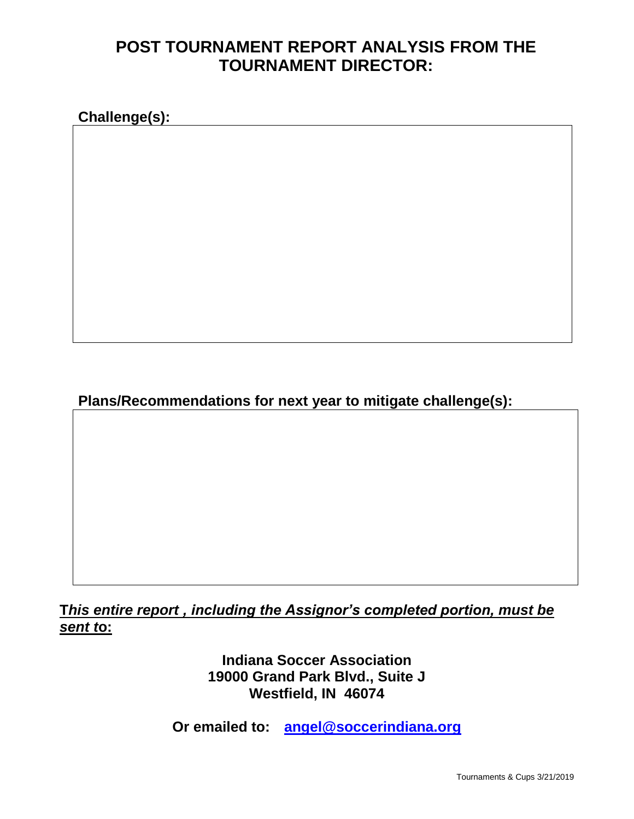## **POST TOURNAMENT REPORT ANALYSIS FROM THE TOURNAMENT DIRECTOR:**

**Challenge(s):**

**Plans/Recommendations for next year to mitigate challenge(s):**

**T***his entire report , including the Assignor's completed portion, must be sent t***o:**

> **Indiana Soccer Association 19000 Grand Park Blvd., Suite J Westfield, IN 46074**

**Or emailed to: [angel@soccerindiana.org](mailto:angel@soccerindiana.org)**